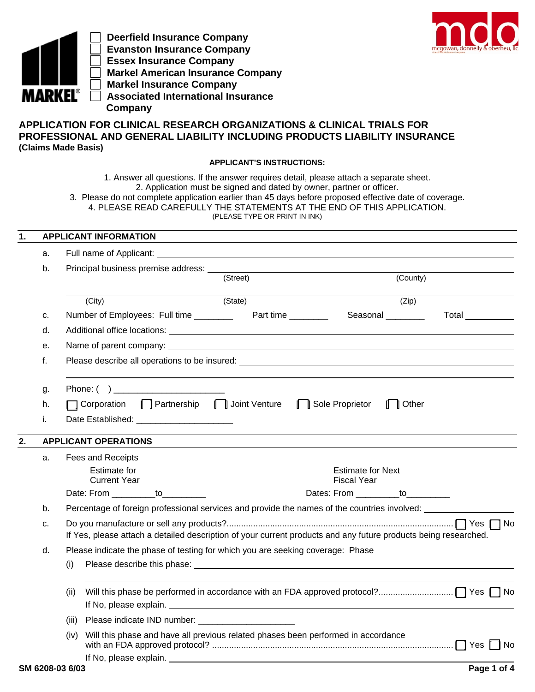

 **Deerfield Insurance Company Evanston Insurance Company Essex Insurance Company Markel American Insurance Company Markel Insurance Company Associated International Insurance Company**



# **APPLICATION FOR CLINICAL RESEARCH ORGANIZATIONS & CLINICAL TRIALS FOR PROFESSIONAL AND GENERAL LIABILITY INCLUDING PRODUCTS LIABILITY INSURANCE (Claims Made Basis)**

## **APPLICANT'S INSTRUCTIONS:**

1. Answer all questions. If the answer requires detail, please attach a separate sheet. 2. Application must be signed and dated by owner, partner or officer.

3. Please do not complete application earlier than 45 days before proposed effective date of coverage. 4. PLEASE READ CAREFULLY THE STATEMENTS AT THE END OF THIS APPLICATION.

| (PLEASE TYPE OR PRINT IN INK) |  |  |  |  |  |
|-------------------------------|--|--|--|--|--|
|-------------------------------|--|--|--|--|--|

## **1. APPLICANT INFORMATION**

| Principal business premise address: ____<br>b.<br>(County)<br>(Street)<br>(State)<br>(Zip)<br>(City)<br>c.<br>d.<br>е.<br>f.<br>Please describe all operations to be insured: example and all of the state of the state of the state of the state of the state of the state of the state of the state of the state of the state of the state of the state of t<br>Phone: ( )<br>g.<br>Corporation C Partnership C Joint Venture<br>Sole Proprietor<br><b>∏</b> Other<br>h.<br>i.<br>Date Established: ________________________<br><b>APPLICANT OPERATIONS</b><br>Fees and Receipts<br>a.<br><b>Estimate for</b><br><b>Estimate for Next</b><br><b>Current Year</b><br><b>Fiscal Year</b><br>Dates: From ___________to__________<br>Date: From ___________to<br>Percentage of foreign professional services and provide the names of the countries involved:<br>b.<br>c.<br>If Yes, please attach a detailed description of your current products and any future products being researched.<br>Please indicate the phase of testing for which you are seeking coverage: Phase<br>d.<br>(i)<br>(ii)<br>(iii)<br>Will this phase and have all previous related phases been performed in accordance<br>(iv)<br>If No, please explain. <u>The same and the set of the set of the set of the set of the set of the set of the set of the set of the set of the set of the set of the set of the set of the set of the set of the set of the set o</u><br>SM 6208-03 6/03 | a. |  |  |                  |
|--------------------------------------------------------------------------------------------------------------------------------------------------------------------------------------------------------------------------------------------------------------------------------------------------------------------------------------------------------------------------------------------------------------------------------------------------------------------------------------------------------------------------------------------------------------------------------------------------------------------------------------------------------------------------------------------------------------------------------------------------------------------------------------------------------------------------------------------------------------------------------------------------------------------------------------------------------------------------------------------------------------------------------------------------------------------------------------------------------------------------------------------------------------------------------------------------------------------------------------------------------------------------------------------------------------------------------------------------------------------------------------------------------------------------------------------------------------------|----|--|--|------------------|
|                                                                                                                                                                                                                                                                                                                                                                                                                                                                                                                                                                                                                                                                                                                                                                                                                                                                                                                                                                                                                                                                                                                                                                                                                                                                                                                                                                                                                                                                    |    |  |  |                  |
|                                                                                                                                                                                                                                                                                                                                                                                                                                                                                                                                                                                                                                                                                                                                                                                                                                                                                                                                                                                                                                                                                                                                                                                                                                                                                                                                                                                                                                                                    |    |  |  |                  |
|                                                                                                                                                                                                                                                                                                                                                                                                                                                                                                                                                                                                                                                                                                                                                                                                                                                                                                                                                                                                                                                                                                                                                                                                                                                                                                                                                                                                                                                                    |    |  |  |                  |
|                                                                                                                                                                                                                                                                                                                                                                                                                                                                                                                                                                                                                                                                                                                                                                                                                                                                                                                                                                                                                                                                                                                                                                                                                                                                                                                                                                                                                                                                    |    |  |  | Total __________ |
|                                                                                                                                                                                                                                                                                                                                                                                                                                                                                                                                                                                                                                                                                                                                                                                                                                                                                                                                                                                                                                                                                                                                                                                                                                                                                                                                                                                                                                                                    |    |  |  |                  |
|                                                                                                                                                                                                                                                                                                                                                                                                                                                                                                                                                                                                                                                                                                                                                                                                                                                                                                                                                                                                                                                                                                                                                                                                                                                                                                                                                                                                                                                                    |    |  |  |                  |
|                                                                                                                                                                                                                                                                                                                                                                                                                                                                                                                                                                                                                                                                                                                                                                                                                                                                                                                                                                                                                                                                                                                                                                                                                                                                                                                                                                                                                                                                    |    |  |  |                  |
|                                                                                                                                                                                                                                                                                                                                                                                                                                                                                                                                                                                                                                                                                                                                                                                                                                                                                                                                                                                                                                                                                                                                                                                                                                                                                                                                                                                                                                                                    |    |  |  |                  |
|                                                                                                                                                                                                                                                                                                                                                                                                                                                                                                                                                                                                                                                                                                                                                                                                                                                                                                                                                                                                                                                                                                                                                                                                                                                                                                                                                                                                                                                                    |    |  |  |                  |
|                                                                                                                                                                                                                                                                                                                                                                                                                                                                                                                                                                                                                                                                                                                                                                                                                                                                                                                                                                                                                                                                                                                                                                                                                                                                                                                                                                                                                                                                    |    |  |  |                  |
|                                                                                                                                                                                                                                                                                                                                                                                                                                                                                                                                                                                                                                                                                                                                                                                                                                                                                                                                                                                                                                                                                                                                                                                                                                                                                                                                                                                                                                                                    |    |  |  |                  |
|                                                                                                                                                                                                                                                                                                                                                                                                                                                                                                                                                                                                                                                                                                                                                                                                                                                                                                                                                                                                                                                                                                                                                                                                                                                                                                                                                                                                                                                                    |    |  |  |                  |
|                                                                                                                                                                                                                                                                                                                                                                                                                                                                                                                                                                                                                                                                                                                                                                                                                                                                                                                                                                                                                                                                                                                                                                                                                                                                                                                                                                                                                                                                    |    |  |  |                  |
|                                                                                                                                                                                                                                                                                                                                                                                                                                                                                                                                                                                                                                                                                                                                                                                                                                                                                                                                                                                                                                                                                                                                                                                                                                                                                                                                                                                                                                                                    |    |  |  |                  |
|                                                                                                                                                                                                                                                                                                                                                                                                                                                                                                                                                                                                                                                                                                                                                                                                                                                                                                                                                                                                                                                                                                                                                                                                                                                                                                                                                                                                                                                                    |    |  |  |                  |
|                                                                                                                                                                                                                                                                                                                                                                                                                                                                                                                                                                                                                                                                                                                                                                                                                                                                                                                                                                                                                                                                                                                                                                                                                                                                                                                                                                                                                                                                    |    |  |  |                  |
|                                                                                                                                                                                                                                                                                                                                                                                                                                                                                                                                                                                                                                                                                                                                                                                                                                                                                                                                                                                                                                                                                                                                                                                                                                                                                                                                                                                                                                                                    |    |  |  |                  |
|                                                                                                                                                                                                                                                                                                                                                                                                                                                                                                                                                                                                                                                                                                                                                                                                                                                                                                                                                                                                                                                                                                                                                                                                                                                                                                                                                                                                                                                                    |    |  |  |                  |
|                                                                                                                                                                                                                                                                                                                                                                                                                                                                                                                                                                                                                                                                                                                                                                                                                                                                                                                                                                                                                                                                                                                                                                                                                                                                                                                                                                                                                                                                    |    |  |  |                  |
|                                                                                                                                                                                                                                                                                                                                                                                                                                                                                                                                                                                                                                                                                                                                                                                                                                                                                                                                                                                                                                                                                                                                                                                                                                                                                                                                                                                                                                                                    |    |  |  |                  |
|                                                                                                                                                                                                                                                                                                                                                                                                                                                                                                                                                                                                                                                                                                                                                                                                                                                                                                                                                                                                                                                                                                                                                                                                                                                                                                                                                                                                                                                                    |    |  |  |                  |
|                                                                                                                                                                                                                                                                                                                                                                                                                                                                                                                                                                                                                                                                                                                                                                                                                                                                                                                                                                                                                                                                                                                                                                                                                                                                                                                                                                                                                                                                    |    |  |  |                  |
|                                                                                                                                                                                                                                                                                                                                                                                                                                                                                                                                                                                                                                                                                                                                                                                                                                                                                                                                                                                                                                                                                                                                                                                                                                                                                                                                                                                                                                                                    |    |  |  | Page 1 of 4      |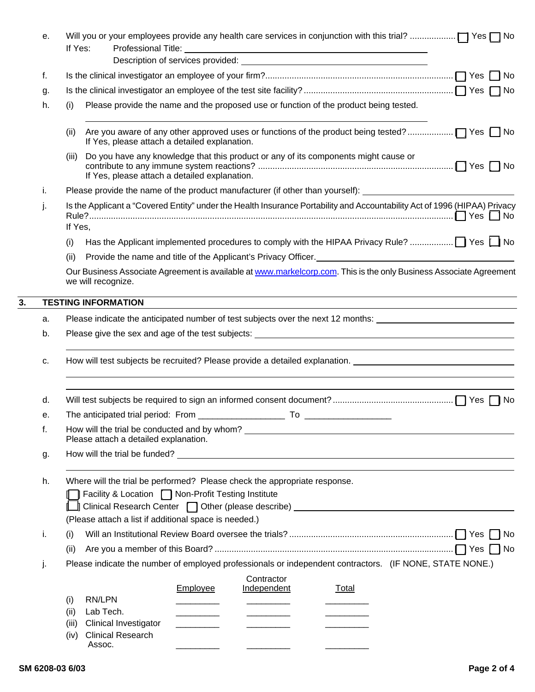|    | е. | If Yes:                                                                                                                                                                                                                |
|----|----|------------------------------------------------------------------------------------------------------------------------------------------------------------------------------------------------------------------------|
|    |    |                                                                                                                                                                                                                        |
|    | f. |                                                                                                                                                                                                                        |
|    | g. |                                                                                                                                                                                                                        |
|    | h. | Please provide the name and the proposed use or function of the product being tested.<br>(i)                                                                                                                           |
|    |    | (ii)<br>If Yes, please attach a detailed explanation.                                                                                                                                                                  |
|    |    | Do you have any knowledge that this product or any of its components might cause or<br>(iii)<br>If Yes, please attach a detailed explanation.                                                                          |
|    | i. | Please provide the name of the product manufacturer (if other than yourself): ______________________                                                                                                                   |
|    | j. | Is the Applicant a "Covered Entity" under the Health Insurance Portability and Accountability Act of 1996 (HIPAA) Privacy                                                                                              |
|    |    | If Yes,                                                                                                                                                                                                                |
|    |    | (i)                                                                                                                                                                                                                    |
|    |    | Provide the name and title of the Applicant's Privacy Officer. <b>Constanting the Constantine Provide the name of the Applicant's Privacy Officer.</b><br>(ii)                                                         |
|    |    | Our Business Associate Agreement is available at www.markelcorp.com. This is the only Business Associate Agreement<br>we will recognize.                                                                               |
| 3. |    | <b>TESTING INFORMATION</b>                                                                                                                                                                                             |
|    | a. | Please indicate the anticipated number of test subjects over the next 12 months:                                                                                                                                       |
|    | b. |                                                                                                                                                                                                                        |
|    | c. | How will test subjects be recruited? Please provide a detailed explanation.                                                                                                                                            |
|    | d. |                                                                                                                                                                                                                        |
|    | е. |                                                                                                                                                                                                                        |
|    | f. | Please attach a detailed explanation.                                                                                                                                                                                  |
|    | g. |                                                                                                                                                                                                                        |
|    | h. | Where will the trial be performed? Please check the appropriate response.<br>T Facility & Location (■ Non-Profit Testing Institute<br>L Clinical Research Center □ Other (please describe) ___________________________ |
|    |    | (Please attach a list if additional space is needed.)                                                                                                                                                                  |
|    | i. | (i)                                                                                                                                                                                                                    |
|    |    | (ii)                                                                                                                                                                                                                   |
|    | j. | Please indicate the number of employed professionals or independent contractors. (IF NONE, STATE NONE.)                                                                                                                |
|    |    | Contractor<br>Employee<br>Independent<br><b>Total</b><br>RN/LPN<br>(i)                                                                                                                                                 |
|    |    | Lab Tech.<br>(ii)                                                                                                                                                                                                      |
|    |    | <b>Clinical Investigator</b><br>(iii)                                                                                                                                                                                  |
|    |    | <b>Clinical Research</b><br>(iv)<br>Assoc.                                                                                                                                                                             |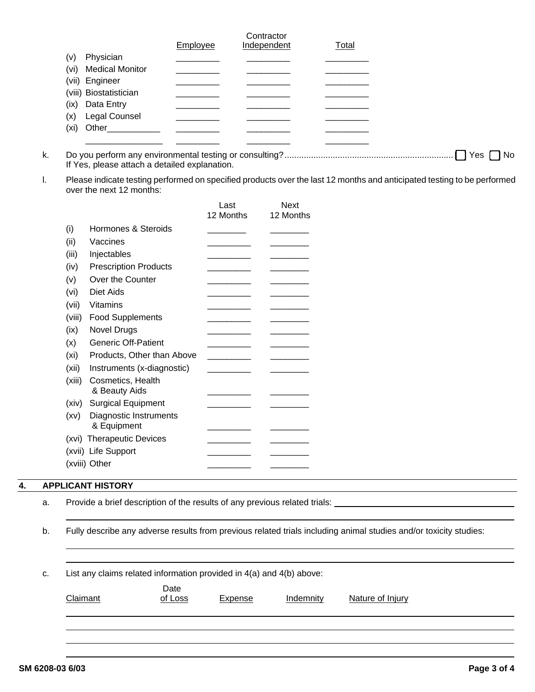|                                          | Employee | Contractor<br>Independent | <b>Total</b> |
|------------------------------------------|----------|---------------------------|--------------|
| Physician<br>(v)                         |          |                           |              |
| (vi) Medical Monitor                     |          |                           |              |
| (vii) Engineer<br>(viii) Biostatistician |          |                           |              |
| Data Entry<br>(ix)                       |          |                           |              |
| Legal Counsel<br>(x)                     |          |                           |              |
| (xi)<br>Other                            |          |                           |              |
|                                          |          |                           |              |

- k. Do you perform any environmental testing or consulting? ...................................................................... [ ] Yes [ ] No If Yes, please attach a detailed explanation.
- l. Please indicate testing performed on specified products over the last 12 months and anticipated testing to be performed over the next 12 months:

|        |                                       | Last      | <b>Next</b> |
|--------|---------------------------------------|-----------|-------------|
|        |                                       | 12 Months | 12 Months   |
| (i)    | Hormones & Steroids                   |           |             |
| (ii)   | Vaccines                              |           |             |
| (iii)  | Injectables                           |           |             |
| (iv)   | <b>Prescription Products</b>          |           |             |
| (v)    | Over the Counter                      |           |             |
| (vi)   | Diet Aids                             |           |             |
| (vii)  | Vitamins                              |           |             |
| (viii) | <b>Food Supplements</b>               |           |             |
| (ix)   | <b>Novel Drugs</b>                    |           |             |
| (x)    | <b>Generic Off-Patient</b>            |           |             |
| (xi)   | Products, Other than Above            |           |             |
| (xii)  | Instruments (x-diagnostic)            |           |             |
| (xiii) | Cosmetics, Health<br>& Beauty Aids    |           |             |
| (xiv)  | <b>Surgical Equipment</b>             |           |             |
| (xv)   | Diagnostic Instruments<br>& Equipment |           |             |
|        | (xvi) Therapeutic Devices             |           |             |
|        | (xvii) Life Support                   |           |             |
|        | (xviii) Other                         |           |             |

## **4. APPLICANT HISTORY**

|  |  |  | Provide a brief description of the results of any previous related trials: |  |  |  |  |
|--|--|--|----------------------------------------------------------------------------|--|--|--|--|
|--|--|--|----------------------------------------------------------------------------|--|--|--|--|

b. Fully describe any adverse results from previous related trials including animal studies and/or toxicity studies:

c. List any claims related information provided in 4(a) and 4(b) above:

| Claimant | Date<br>of Loss | <b>Expense</b> | Indemnity | Nature of Injury |
|----------|-----------------|----------------|-----------|------------------|
|          |                 |                |           |                  |
|          |                 |                |           |                  |